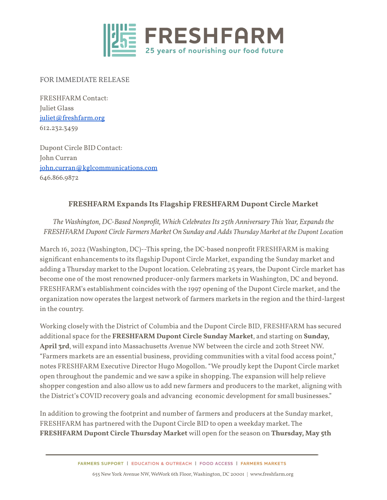

#### FOR IMMEDIATE RELEASE

FRESHFARM Contact: Juliet Glass [juliet@freshfarm.org](mailto:juliet@freshfarm.org) 612.232.3459

Dupont Circle BID Contact: John Curran [john.curran@kglcommunications.com](mailto:john.curran@kglcommunications.com) 646.866.9872

# **FRESHFARM Expands Its Flagship FRESHFARM Dupont Circle Market**

*The Washington, DC-Based Nonprofit, Which CelebratesIts 25th Anniversary This Year, Expandsthe FRESHFARM Dupont Circle Farmers Market On Sunday and Adds Thursday Market at the Dupont Location*

March 16, 2022 (Washington, DC)--This spring, the DC-based nonprofit FRESHFARM is making significant enhancements to its flagship Dupont Circle Market, expanding the Sunday market and adding a Thursday market to the Dupont location. Celebrating 25 years, the Dupont Circle market has become one of the most renowned producer-only farmers markets in Washington, DC and beyond. FRESHFARM's establishment coincides with the 1997 opening of the Dupont Circle market, and the organization now operates the largest network of farmers markets in the region and the third-largest in the country.

Working closelywith the District of Columbia and the Dupont Circle BID, FRESHFARM has secured additional space for the **FRESHFARM Dupont Circle Sunday Market**, and starting on **Sunday, April 3rd**, will expand into Massachusetts Avenue NW between the circle and 20th Street NW. "Farmers markets are an essential business, providing communities with a vital food access point," notes FRESHFARM Executive Director Hugo Mogollon. "We proudly kept the Dupont Circle market open throughout the pandemic and we saw a spike in shopping. The expansion will help relieve shopper congestion and also allow us to add new farmers and producers to the market, aligning with the District's COVID recovery goals and advancing economic development for small businesses."

In addition to growing the footprint and number of farmers and producers at the Sunday market, FRESHFARM has partnered with the Dupont Circle BID to open a weekday market. The **FRESHFARM Dupont Circle Thursday Market** will open for the season on **Thursday, May 5th**

FARMERS SUPPORT | EDUCATION & OUTREACH | FOOD ACCESS | FARMERS MARKETS

655 NewYork Avenue NW, WeWork 6th Floor, Washington, DC 20001 | www.freshfarm.org